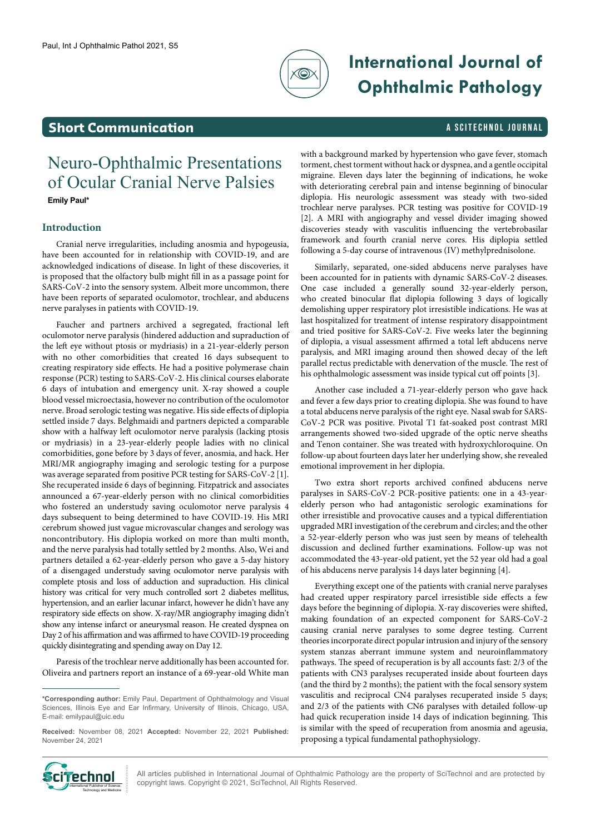

# **International Journal of Ophthalmic Pathology**

## **Short Communication** A SCITECHNOL JOURNAL

## Neuro-Ophthalmic Presentations of Ocular Cranial Nerve Palsies

**Emily Paul\***

### **Introduction**

Cranial nerve irregularities, including anosmia and hypogeusia, have been accounted for in relationship with COVID-19, and are acknowledged indications of disease. In light of these discoveries, it is proposed that the olfactory bulb might fill in as a passage point for SARS-CoV-2 into the sensory system. Albeit more uncommon, there have been reports of separated oculomotor, trochlear, and abducens nerve paralyses in patients with COVID-19.

Faucher and partners archived a segregated, fractional left oculomotor nerve paralysis (hindered adduction and supraduction of the left eye without ptosis or mydriasis) in a 21-year-elderly person with no other comorbidities that created 16 days subsequent to creating respiratory side effects. He had a positive polymerase chain response (PCR) testing to SARS-CoV-2. His clinical courses elaborate 6 days of intubation and emergency unit. X-ray showed a couple blood vessel microectasia, however no contribution of the oculomotor nerve. Broad serologic testing was negative. His side effects of diplopia settled inside 7 days. Belghmaidi and partners depicted a comparable show with a halfway left oculomotor nerve paralysis (lacking ptosis or mydriasis) in a 23-year-elderly people ladies with no clinical comorbidities, gone before by 3 days of fever, anosmia, and hack. Her MRI/MR angiography imaging and serologic testing for a purpose was average separated from positive PCR testing for SARS-CoV-2 [1]. She recuperated inside 6 days of beginning. Fitzpatrick and associates announced a 67-year-elderly person with no clinical comorbidities who fostered an understudy saving oculomotor nerve paralysis 4 days subsequent to being determined to have COVID-19. His MRI cerebrum showed just vague microvascular changes and serology was noncontributory. His diplopia worked on more than multi month, and the nerve paralysis had totally settled by 2 months. Also, Wei and partners detailed a 62-year-elderly person who gave a 5-day history of a disengaged understudy saving oculomotor nerve paralysis with complete ptosis and loss of adduction and supraduction. His clinical history was critical for very much controlled sort 2 diabetes mellitus, hypertension, and an earlier lacunar infarct, however he didn't have any respiratory side effects on show. X-ray/MR angiography imaging didn't show any intense infarct or aneurysmal reason. He created dyspnea on Day 2 of his affirmation and was affirmed to have COVID-19 proceeding quickly disintegrating and spending away on Day 12.

Paresis of the trochlear nerve additionally has been accounted for. Oliveira and partners report an instance of a 69-year-old White man

with a background marked by hypertension who gave fever, stomach torment, chest torment without hack or dyspnea, and a gentle occipital migraine. Eleven days later the beginning of indications, he woke with deteriorating cerebral pain and intense beginning of binocular diplopia. His neurologic assessment was steady with two-sided trochlear nerve paralyses. PCR testing was positive for COVID-19 [2]. A MRI with angiography and vessel divider imaging showed discoveries steady with vasculitis influencing the vertebrobasilar framework and fourth cranial nerve cores. His diplopia settled following a 5-day course of intravenous (IV) methylprednisolone.

Similarly, separated, one-sided abducens nerve paralyses have been accounted for in patients with dynamic SARS-CoV-2 diseases. One case included a generally sound 32-year-elderly person, who created binocular flat diplopia following 3 days of logically demolishing upper respiratory plot irresistible indications. He was at last hospitalized for treatment of intense respiratory disappointment and tried positive for SARS-CoV-2. Five weeks later the beginning of diplopia, a visual assessment affirmed a total left abducens nerve paralysis, and MRI imaging around then showed decay of the left parallel rectus predictable with denervation of the muscle. The rest of his ophthalmologic assessment was inside typical cut off points [3].

Another case included a 71-year-elderly person who gave hack and fever a few days prior to creating diplopia. She was found to have a total abducens nerve paralysis of the right eye. Nasal swab for SARS-CoV-2 PCR was positive. Pivotal T1 fat-soaked post contrast MRI arrangements showed two-sided upgrade of the optic nerve sheaths and Tenon container. She was treated with hydroxychloroquine. On follow-up about fourteen days later her underlying show, she revealed emotional improvement in her diplopia.

Two extra short reports archived confined abducens nerve paralyses in SARS-CoV-2 PCR-positive patients: one in a 43-yearelderly person who had antagonistic serologic examinations for other irresistible and provocative causes and a typical differentiation upgraded MRI investigation of the cerebrum and circles; and the other a 52-year-elderly person who was just seen by means of telehealth discussion and declined further examinations. Follow-up was not accommodated the 43-year-old patient, yet the 52 year old had a goal of his abducens nerve paralysis 14 days later beginning [4].

Everything except one of the patients with cranial nerve paralyses had created upper respiratory parcel irresistible side effects a few days before the beginning of diplopia. X-ray discoveries were shifted, making foundation of an expected component for SARS-CoV-2 causing cranial nerve paralyses to some degree testing. Current theories incorporate direct popular intrusion and injury of the sensory system stanzas aberrant immune system and neuroinflammatory pathways. The speed of recuperation is by all accounts fast: 2/3 of the patients with CN3 paralyses recuperated inside about fourteen days (and the third by 2 months); the patient with the focal sensory system vasculitis and reciprocal CN4 paralyses recuperated inside 5 days; and 2/3 of the patients with CN6 paralyses with detailed follow-up had quick recuperation inside 14 days of indication beginning. This is similar with the speed of recuperation from anosmia and ageusia, proposing a typical fundamental pathophysiology.



All articles published in International Journal of Ophthalmic Pathology are the property of SciTechnol and are protected by **COHOL FRIGHTS AND ACTES AND ACTES AND ACTES AND ACTES AND ACTES INTERNATIONAL PROPERTY OF SCITE CONTRACTES IN**<br>International Property Copyright laws. Copyright © 2021, SciTechnol, All Rights Reserved.

**<sup>\*</sup>Corresponding author:** Emily Paul, Department of Ophthalmology and Visual Sciences, Illinois Eye and Ear Infirmary, University of Illinois, Chicago, USA, E-mail: emilypaul@uic.edu

**Received:** November 08, 2021 **Accepted:** November 22, 2021 **Published:** November 24, 2021